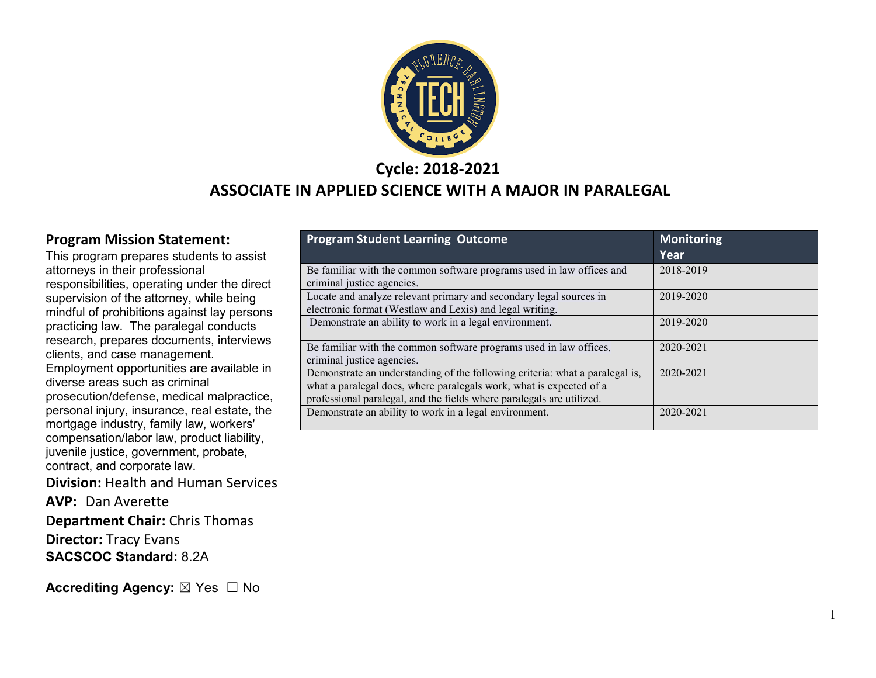

### **Cycle: 2018-2021**

#### **ASSOCIATE IN APPLIED SCIENCE WITH A MAJOR IN PARALEGAL**

#### **Program Mission Statement:**

This program prepares students to assist attorneys in their professional responsibilities, operating under the direct supervision of the attorney, while being mindful of prohibitions against lay persons practicing law. The paralegal conducts research, prepares documents, interviews clients, and case management. Employment opportunities are available in diverse areas such as criminal prosecution/defense, medical malpractice, personal injury, insurance, real estate, the mortgage industry, family law, workers' compensation/labor law, product liability, juvenile justice, government, probate, contract, and corporate law.

**Division:** Health and Human Services

**AVP:** Dan Averette

**Department Chair:** Chris Thomas

**Director:** Tracy Evans **SACSCOC Standard:** 8.2A

**Accrediting Agency:** ⊠ Yes □ No

| <b>Program Student Learning Outcome</b>                                      | <b>Monitoring</b> |
|------------------------------------------------------------------------------|-------------------|
|                                                                              | Year              |
| Be familiar with the common software programs used in law offices and        | 2018-2019         |
| criminal justice agencies.                                                   |                   |
| Locate and analyze relevant primary and secondary legal sources in           | 2019-2020         |
| electronic format (Westlaw and Lexis) and legal writing.                     |                   |
| Demonstrate an ability to work in a legal environment.                       | 2019-2020         |
|                                                                              |                   |
| Be familiar with the common software programs used in law offices,           | 2020-2021         |
| criminal justice agencies.                                                   |                   |
| Demonstrate an understanding of the following criteria: what a paralegal is, | 2020-2021         |
| what a paralegal does, where paralegals work, what is expected of a          |                   |
| professional paralegal, and the fields where paralegals are utilized.        |                   |
| Demonstrate an ability to work in a legal environment.                       | 2020-2021         |
|                                                                              |                   |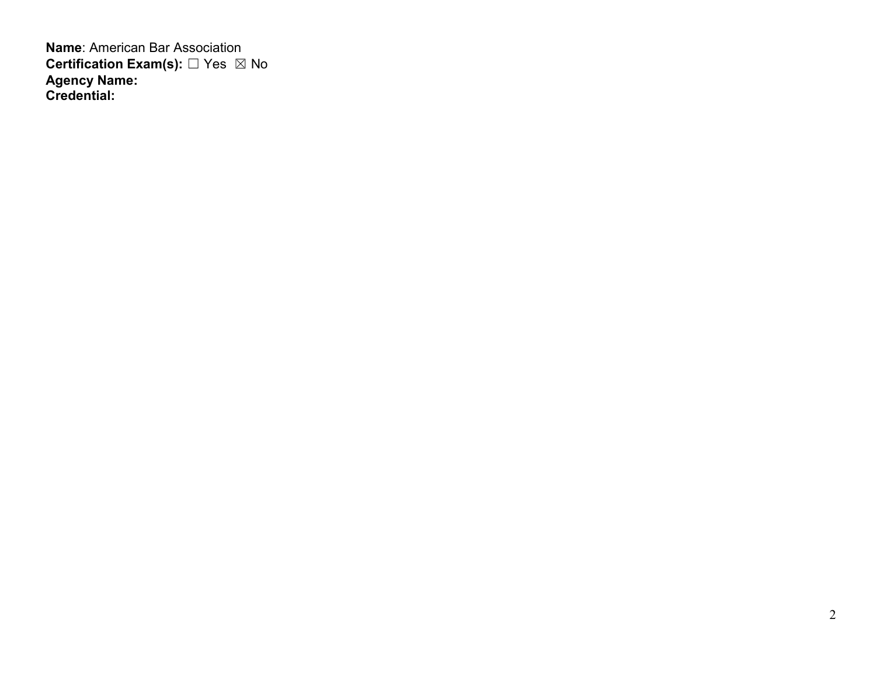**Name**: American Bar Association **Certification Exam(s):** □ Yes ⊠ No **Agency Name: Credential:**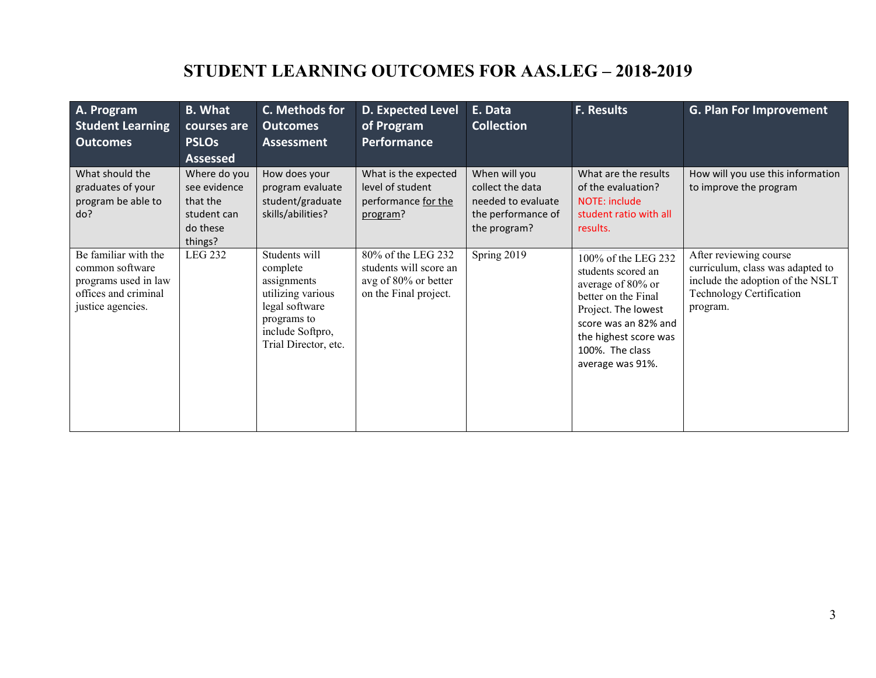## **STUDENT LEARNING OUTCOMES FOR AAS.LEG – 2018-2019**

| A. Program<br><b>Student Learning</b><br><b>Outcomes</b>                                                     | <b>B.</b> What<br>courses are<br><b>PSLOs</b><br><b>Assessed</b>               | C. Methods for<br><b>Outcomes</b><br><b>Assessment</b>                                                                                     | <b>D. Expected Level</b><br>of Program<br>Performance                                         | E. Data<br><b>Collection</b>                                                                  | <b>F. Results</b>                                                                                                                                                                                    | <b>G. Plan For Improvement</b>                                                                                                         |
|--------------------------------------------------------------------------------------------------------------|--------------------------------------------------------------------------------|--------------------------------------------------------------------------------------------------------------------------------------------|-----------------------------------------------------------------------------------------------|-----------------------------------------------------------------------------------------------|------------------------------------------------------------------------------------------------------------------------------------------------------------------------------------------------------|----------------------------------------------------------------------------------------------------------------------------------------|
| What should the<br>graduates of your<br>program be able to<br>do?                                            | Where do you<br>see evidence<br>that the<br>student can<br>do these<br>things? | How does your<br>program evaluate<br>student/graduate<br>skills/abilities?                                                                 | What is the expected<br>level of student<br>performance for the<br>program?                   | When will you<br>collect the data<br>needed to evaluate<br>the performance of<br>the program? | What are the results<br>of the evaluation?<br>NOTE: include<br>student ratio with all<br>results.                                                                                                    | How will you use this information<br>to improve the program                                                                            |
| Be familiar with the<br>common software<br>programs used in law<br>offices and criminal<br>justice agencies. | <b>LEG 232</b>                                                                 | Students will<br>complete<br>assignments<br>utilizing various<br>legal software<br>programs to<br>include Softpro,<br>Trial Director, etc. | 80% of the LEG 232<br>students will score an<br>avg of 80% or better<br>on the Final project. | Spring 2019                                                                                   | 100% of the LEG 232<br>students scored an<br>average of 80% or<br>better on the Final<br>Project. The lowest<br>score was an 82% and<br>the highest score was<br>100%. The class<br>average was 91%. | After reviewing course<br>curriculum, class was adapted to<br>include the adoption of the NSLT<br>Technology Certification<br>program. |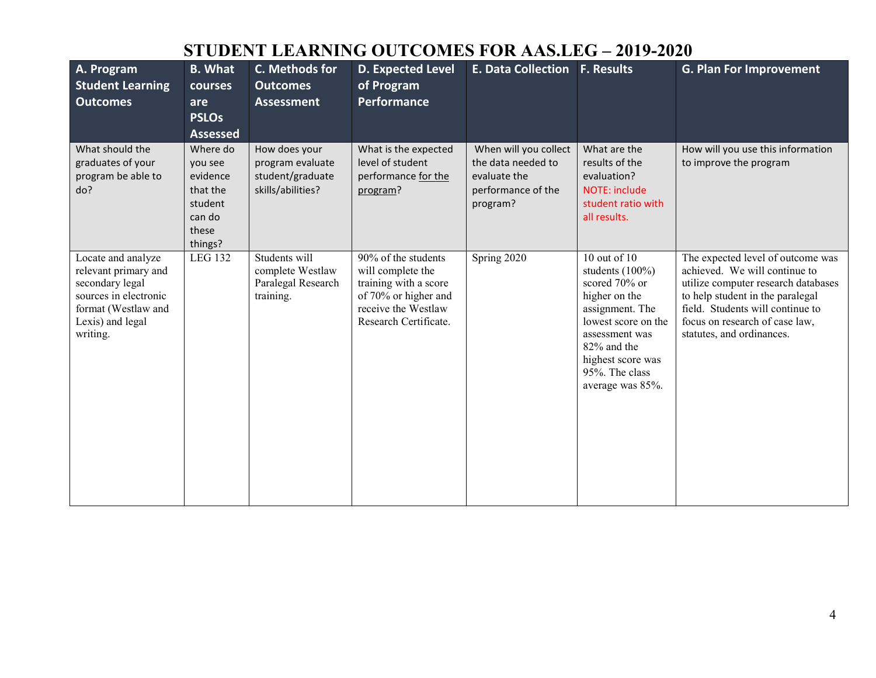## **STUDENT LEARNING OUTCOMES FOR AAS.LEG – 2019-2020**

| A. Program<br><b>Student Learning</b><br><b>Outcomes</b>                                                                                      | <b>B. What</b><br>courses<br>are<br><b>PSLOs</b><br><b>Assessed</b>                  | C. Methods for<br><b>Outcomes</b><br><b>Assessment</b>                     | <b>D. Expected Level</b><br>of Program<br><b>Performance</b>                                                                              | <b>E. Data Collection</b>                                                                     | <b>F. Results</b>                                                                                                                                                                                         | <b>G. Plan For Improvement</b>                                                                                                                                                                                                                   |
|-----------------------------------------------------------------------------------------------------------------------------------------------|--------------------------------------------------------------------------------------|----------------------------------------------------------------------------|-------------------------------------------------------------------------------------------------------------------------------------------|-----------------------------------------------------------------------------------------------|-----------------------------------------------------------------------------------------------------------------------------------------------------------------------------------------------------------|--------------------------------------------------------------------------------------------------------------------------------------------------------------------------------------------------------------------------------------------------|
| What should the<br>graduates of your<br>program be able to<br>do?                                                                             | Where do<br>you see<br>evidence<br>that the<br>student<br>can do<br>these<br>things? | How does your<br>program evaluate<br>student/graduate<br>skills/abilities? | What is the expected<br>level of student<br>performance for the<br>program?                                                               | When will you collect<br>the data needed to<br>evaluate the<br>performance of the<br>program? | What are the<br>results of the<br>evaluation?<br><b>NOTE: include</b><br>student ratio with<br>all results.                                                                                               | How will you use this information<br>to improve the program                                                                                                                                                                                      |
| Locate and analyze<br>relevant primary and<br>secondary legal<br>sources in electronic<br>format (Westlaw and<br>Lexis) and legal<br>writing. | <b>LEG 132</b>                                                                       | Students will<br>complete Westlaw<br>Paralegal Research<br>training.       | 90% of the students<br>will complete the<br>training with a score<br>of 70% or higher and<br>receive the Westlaw<br>Research Certificate. | Spring 2020                                                                                   | 10 out of $10$<br>students (100%)<br>scored 70% or<br>higher on the<br>assignment. The<br>lowest score on the<br>assessment was<br>82% and the<br>highest score was<br>95%. The class<br>average was 85%. | The expected level of outcome was<br>achieved. We will continue to<br>utilize computer research databases<br>to help student in the paralegal<br>field. Students will continue to<br>focus on research of case law,<br>statutes, and ordinances. |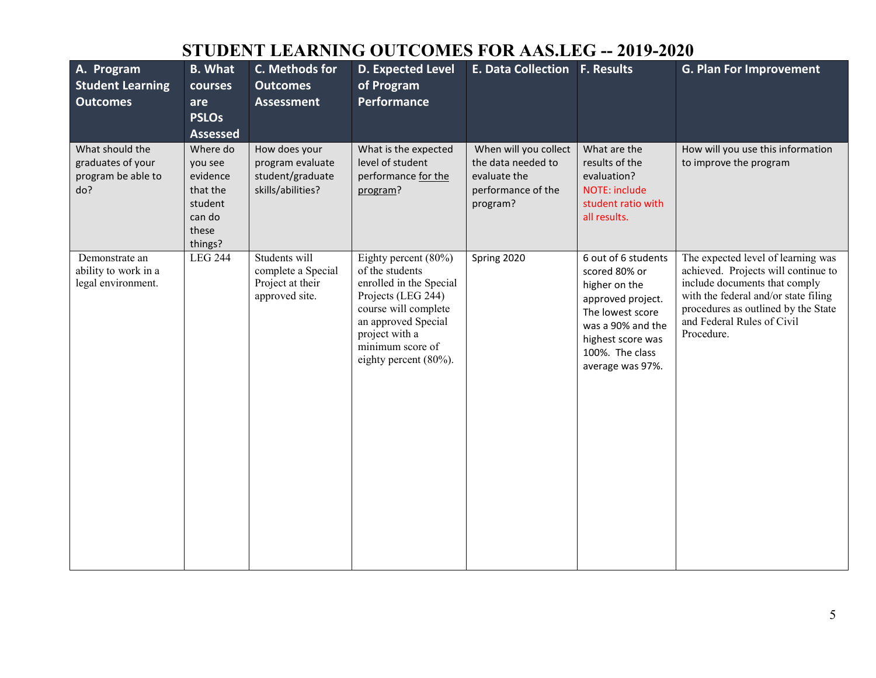## **STUDENT LEARNING OUTCOMES FOR AAS.LEG -- 2019-2020**

| A. Program<br><b>Student Learning</b><br><b>Outcomes</b>          | <b>B.</b> What<br>courses<br>are<br><b>PSLOs</b><br><b>Assessed</b>                  | C. Methods for<br><b>Outcomes</b><br><b>Assessment</b>                     | <b>D. Expected Level</b><br>of Program<br>Performance                                                                                                                                                  | E. Data Collection F. Results                                                                 |                                                                                                                                                                                 | <b>G. Plan For Improvement</b>                                                                                                                                                                                                        |
|-------------------------------------------------------------------|--------------------------------------------------------------------------------------|----------------------------------------------------------------------------|--------------------------------------------------------------------------------------------------------------------------------------------------------------------------------------------------------|-----------------------------------------------------------------------------------------------|---------------------------------------------------------------------------------------------------------------------------------------------------------------------------------|---------------------------------------------------------------------------------------------------------------------------------------------------------------------------------------------------------------------------------------|
| What should the<br>graduates of your<br>program be able to<br>do? | Where do<br>you see<br>evidence<br>that the<br>student<br>can do<br>these<br>things? | How does your<br>program evaluate<br>student/graduate<br>skills/abilities? | What is the expected<br>level of student<br>performance for the<br>program?                                                                                                                            | When will you collect<br>the data needed to<br>evaluate the<br>performance of the<br>program? | What are the<br>results of the<br>evaluation?<br><b>NOTE: include</b><br>student ratio with<br>all results.                                                                     | How will you use this information<br>to improve the program                                                                                                                                                                           |
| Demonstrate an<br>ability to work in a<br>legal environment.      | <b>LEG 244</b>                                                                       | Students will<br>complete a Special<br>Project at their<br>approved site.  | Eighty percent (80%)<br>of the students<br>enrolled in the Special<br>Projects (LEG 244)<br>course will complete<br>an approved Special<br>project with a<br>minimum score of<br>eighty percent (80%). | Spring 2020                                                                                   | 6 out of 6 students<br>scored 80% or<br>higher on the<br>approved project.<br>The lowest score<br>was a 90% and the<br>highest score was<br>100%. The class<br>average was 97%. | The expected level of learning was<br>achieved. Projects will continue to<br>include documents that comply<br>with the federal and/or state filing<br>procedures as outlined by the State<br>and Federal Rules of Civil<br>Procedure. |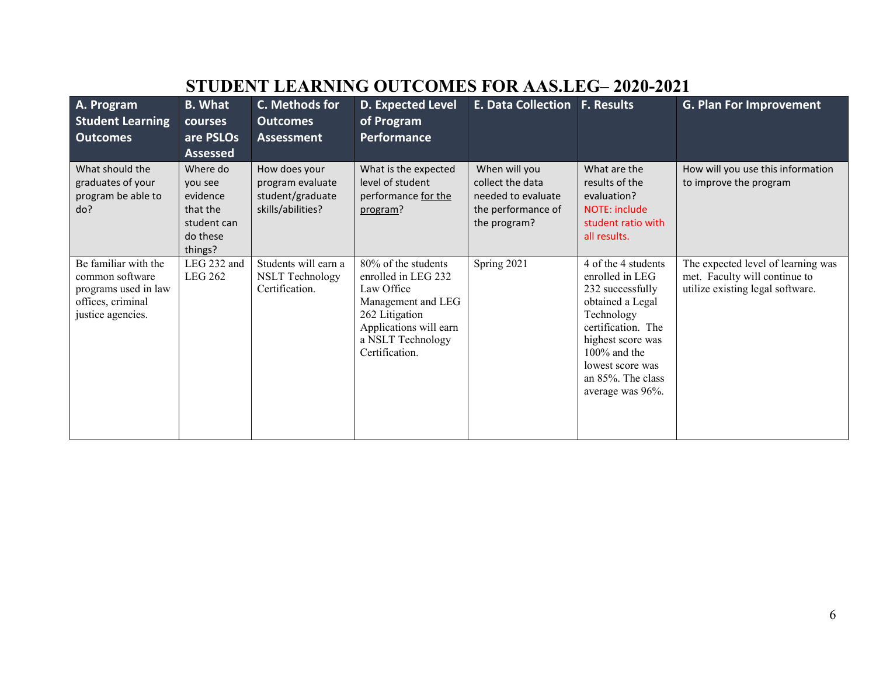|                                                                                                           |                                                                                   | от оршат шиниало                                                           |                                                                                                                                                                   |                                                                                               |                                                                                                                                                                                                                         |                                                                                                         |
|-----------------------------------------------------------------------------------------------------------|-----------------------------------------------------------------------------------|----------------------------------------------------------------------------|-------------------------------------------------------------------------------------------------------------------------------------------------------------------|-----------------------------------------------------------------------------------------------|-------------------------------------------------------------------------------------------------------------------------------------------------------------------------------------------------------------------------|---------------------------------------------------------------------------------------------------------|
| A. Program                                                                                                | <b>B.</b> What                                                                    | C. Methods for                                                             | <b>D. Expected Level</b>                                                                                                                                          | <b>E. Data Collection F. Results</b>                                                          |                                                                                                                                                                                                                         | <b>G. Plan For Improvement</b>                                                                          |
| <b>Student Learning</b>                                                                                   | courses                                                                           | <b>Outcomes</b>                                                            | of Program                                                                                                                                                        |                                                                                               |                                                                                                                                                                                                                         |                                                                                                         |
| <b>Outcomes</b>                                                                                           | are PSLOs                                                                         | Assessment                                                                 | <b>Performance</b>                                                                                                                                                |                                                                                               |                                                                                                                                                                                                                         |                                                                                                         |
|                                                                                                           | <b>Assessed</b>                                                                   |                                                                            |                                                                                                                                                                   |                                                                                               |                                                                                                                                                                                                                         |                                                                                                         |
| What should the<br>graduates of your<br>program be able to<br>do?                                         | Where do<br>you see<br>evidence<br>that the<br>student can<br>do these<br>things? | How does your<br>program evaluate<br>student/graduate<br>skills/abilities? | What is the expected<br>level of student<br>performance for the<br>program?                                                                                       | When will you<br>collect the data<br>needed to evaluate<br>the performance of<br>the program? | What are the<br>results of the<br>evaluation?<br>NOTE: include<br>student ratio with<br>all results.                                                                                                                    | How will you use this information<br>to improve the program                                             |
| Be familiar with the<br>common software<br>programs used in law<br>offices, criminal<br>justice agencies. | LEG 232 and<br><b>LEG 262</b>                                                     | Students will earn a<br><b>NSLT</b> Technology<br>Certification.           | 80% of the students<br>enrolled in LEG 232<br>Law Office<br>Management and LEG<br>262 Litigation<br>Applications will earn<br>a NSLT Technology<br>Certification. | Spring 2021                                                                                   | 4 of the 4 students<br>enrolled in LEG<br>232 successfully<br>obtained a Legal<br>Technology<br>certification. The<br>highest score was<br>$100\%$ and the<br>lowest score was<br>an 85%. The class<br>average was 96%. | The expected level of learning was<br>met. Faculty will continue to<br>utilize existing legal software. |

### **STUDENT LEARNING OUTCOMES FOR AAS.LEG– 2020-2021**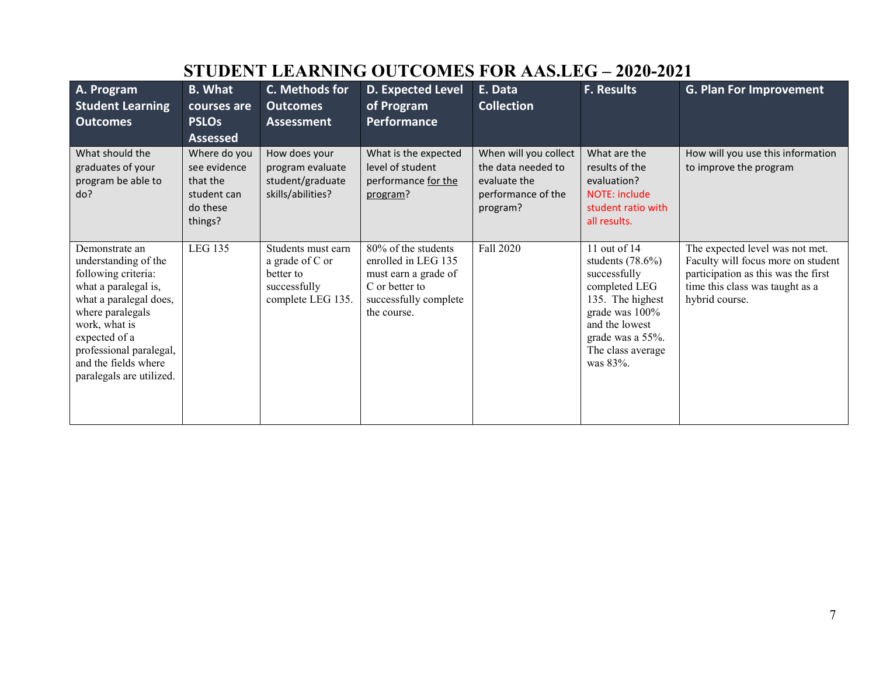| A. Program<br><b>Student Learning</b><br><b>Outcomes</b><br>What should the<br>graduates of your<br>program be able to<br>do?                                                                                                                        | <b>B.</b> What<br>courses are<br><b>PSLOs</b><br><b>Assessed</b><br>Where do you<br>see evidence<br>that the<br>student can<br>do these | C. Methods for<br><b>Outcomes</b><br><b>Assessment</b><br>How does your<br>program evaluate<br>student/graduate<br>skills/abilities? | <b>D. Expected Level</b><br>of Program<br>Performance<br>What is the expected<br>level of student<br>performance for the<br>program? | E. Data<br><b>Collection</b><br>When will you collect<br>the data needed to<br>evaluate the<br>performance of the<br>program? | <b>F. Results</b><br>What are the<br>results of the<br>evaluation?<br><b>NOTE: include</b><br>student ratio with                                                                                  | <b>G. Plan For Improvement</b><br>How will you use this information<br>to improve the program                                                                     |
|------------------------------------------------------------------------------------------------------------------------------------------------------------------------------------------------------------------------------------------------------|-----------------------------------------------------------------------------------------------------------------------------------------|--------------------------------------------------------------------------------------------------------------------------------------|--------------------------------------------------------------------------------------------------------------------------------------|-------------------------------------------------------------------------------------------------------------------------------|---------------------------------------------------------------------------------------------------------------------------------------------------------------------------------------------------|-------------------------------------------------------------------------------------------------------------------------------------------------------------------|
| Demonstrate an<br>understanding of the<br>following criteria:<br>what a paralegal is,<br>what a paralegal does,<br>where paralegals<br>work, what is<br>expected of a<br>professional paralegal,<br>and the fields where<br>paralegals are utilized. | things?<br><b>LEG 135</b>                                                                                                               | Students must earn<br>a grade of C or<br>better to<br>successfully<br>complete LEG 135.                                              | 80% of the students<br>enrolled in LEG 135<br>must earn a grade of<br>C or better to<br>successfully complete<br>the course.         | Fall 2020                                                                                                                     | all results.<br>11 out of 14<br>students $(78.6\%)$<br>successfully<br>completed LEG<br>135. The highest<br>grade was 100%<br>and the lowest<br>grade was a 55%.<br>The class average<br>was 83%. | The expected level was not met.<br>Faculty will focus more on student<br>participation as this was the first<br>time this class was taught as a<br>hybrid course. |

# **STUDENT LEARNING OUTCOMES FOR AAS.LEG – 2020-2021**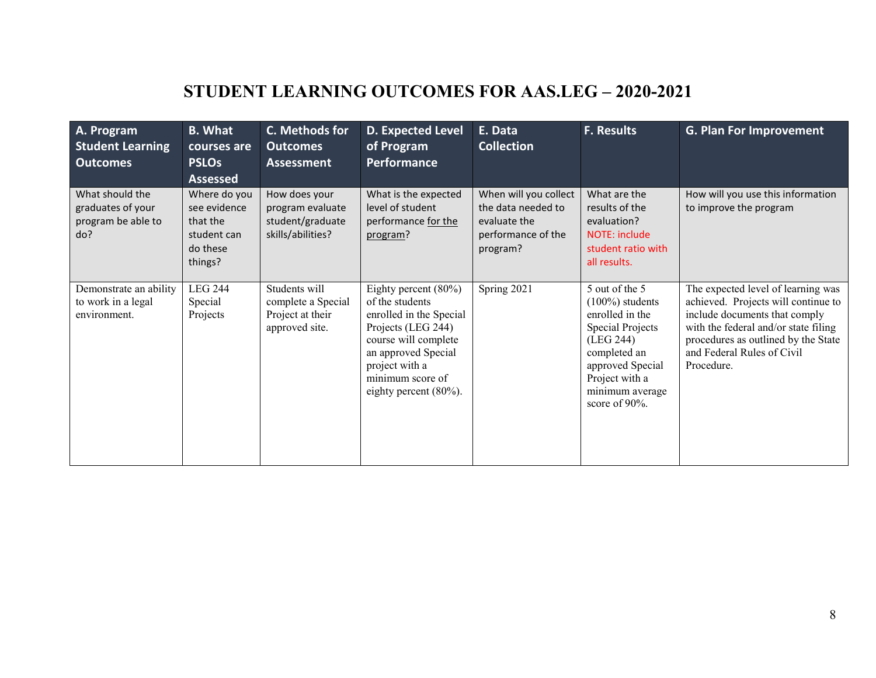# **STUDENT LEARNING OUTCOMES FOR AAS.LEG – 2020-2021**

| A. Program<br><b>Student Learning</b><br><b>Outcomes</b>          | <b>B.</b> What<br>courses are<br><b>PSLOs</b><br><b>Assessed</b>               | C. Methods for<br><b>Outcomes</b><br><b>Assessment</b>                     | <b>D. Expected Level</b><br>of Program<br><b>Performance</b>                                                                                                                                                  | E. Data<br><b>Collection</b>                                                                  | <b>F. Results</b>                                                                                                                                                                      | <b>G. Plan For Improvement</b>                                                                                                                                                                                                        |
|-------------------------------------------------------------------|--------------------------------------------------------------------------------|----------------------------------------------------------------------------|---------------------------------------------------------------------------------------------------------------------------------------------------------------------------------------------------------------|-----------------------------------------------------------------------------------------------|----------------------------------------------------------------------------------------------------------------------------------------------------------------------------------------|---------------------------------------------------------------------------------------------------------------------------------------------------------------------------------------------------------------------------------------|
| What should the<br>graduates of your<br>program be able to<br>do? | Where do you<br>see evidence<br>that the<br>student can<br>do these<br>things? | How does your<br>program evaluate<br>student/graduate<br>skills/abilities? | What is the expected<br>level of student<br>performance for the<br>program?                                                                                                                                   | When will you collect<br>the data needed to<br>evaluate the<br>performance of the<br>program? | What are the<br>results of the<br>evaluation?<br>NOTE: include<br>student ratio with<br>all results.                                                                                   | How will you use this information<br>to improve the program                                                                                                                                                                           |
| Demonstrate an ability<br>to work in a legal<br>environment.      | <b>LEG 244</b><br>Special<br>Projects                                          | Students will<br>complete a Special<br>Project at their<br>approved site.  | Eighty percent $(80\%)$<br>of the students<br>enrolled in the Special<br>Projects (LEG 244)<br>course will complete<br>an approved Special<br>project with a<br>minimum score of<br>eighty percent $(80\%)$ . | Spring 2021                                                                                   | 5 out of the 5<br>$(100\%)$ students<br>enrolled in the<br>Special Projects<br>(LEG 244)<br>completed an<br>approved Special<br>Project with a<br>minimum average<br>score of $90\%$ . | The expected level of learning was<br>achieved. Projects will continue to<br>include documents that comply<br>with the federal and/or state filing<br>procedures as outlined by the State<br>and Federal Rules of Civil<br>Procedure. |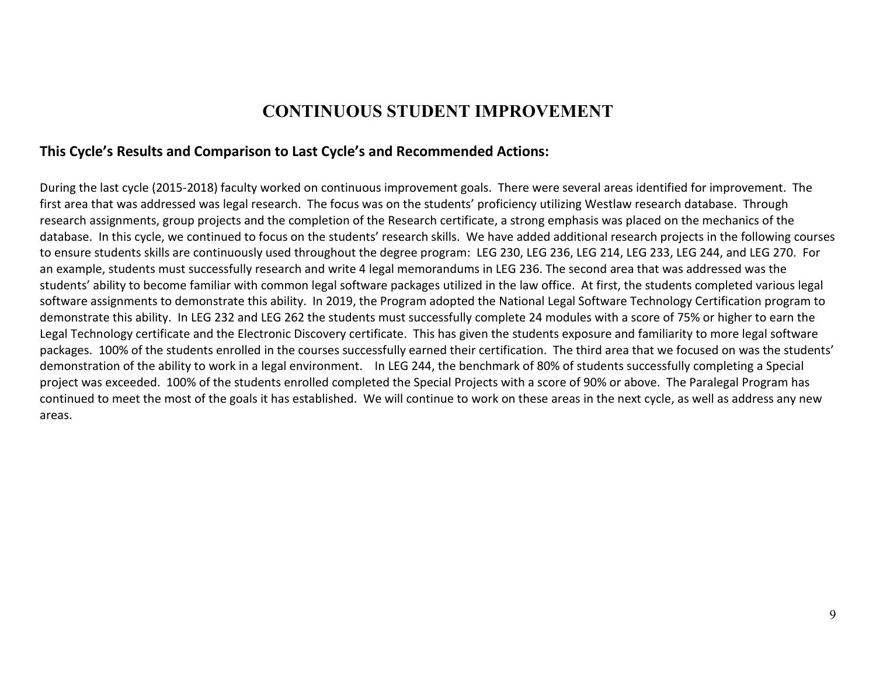#### **CONTINUOUS STUDENT IMPROVEMENT**

#### **This Cycle's Results and Comparison to Last Cycle's and Recommended Actions:**

During the last cycle (2015-2018) faculty worked on continuous improvement goals. There were several areas identified for improvement. The first area that was addressed was legal research. The focus was on the students' proficiency utilizing Westlaw research database. Through research assignments, group projects and the completion of the Research certificate, a strong emphasis was placed on the mechanics of the database. In this cycle, we continued to focus on the students' research skills. We have added additional research projects in the following courses to ensure students skills are continuously used throughout the degree program: LEG 230, LEG 236, LEG 214, LEG 233, LEG 244, and LEG 270. For an example, students must successfully research and write 4 legal memorandums in LEG 236. The second area that was addressed was the students' ability to become familiar with common legal software packages utilized in the law office. At first, the students completed various legal software assignments to demonstrate this ability. In 2019, the Program adopted the National Legal Software Technology Certification program to demonstrate this ability. In LEG 232 and LEG 262 the students must successfully complete 24 modules with a score of 75% or higher to earn the Legal Technology certificate and the Electronic Discovery certificate. This has given the students exposure and familiarity to more legal software packages. 100% of the students enrolled in the courses successfully earned their certification. The third area that we focused on was the students' demonstration of the ability to work in a legal environment. In LEG 244, the benchmark of 80% of students successfully completing a Special project was exceeded. 100% of the students enrolled completed the Special Projects with a score of 90% or above. The Paralegal Program has continued to meet the most of the goals it has established. We will continue to work on these areas in the next cycle, as well as address any new areas.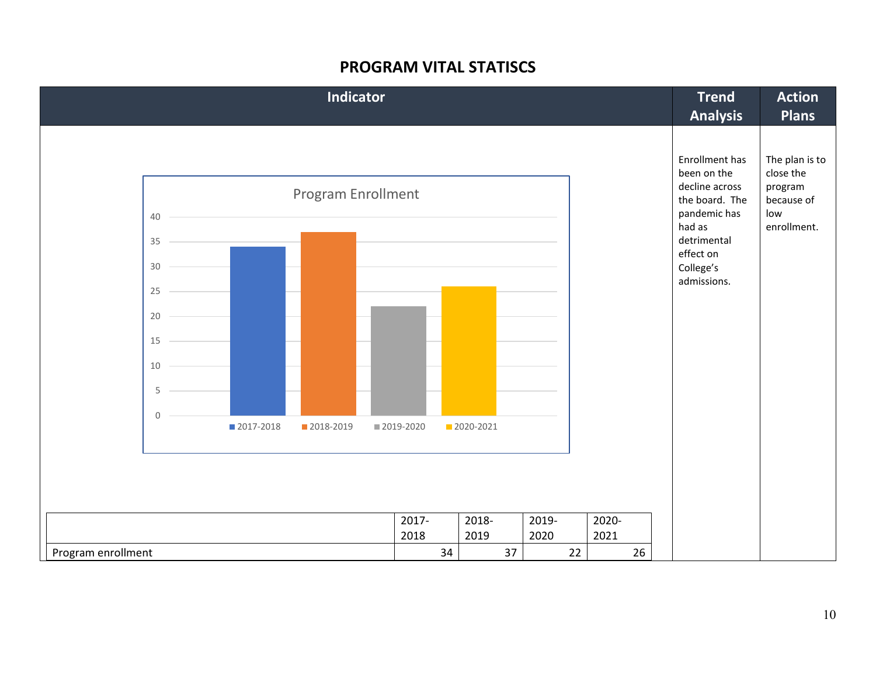#### **PROGRAM VITAL STATISCS**

| Indicator                                      |                                                                                          | <b>Trend</b><br><b>Analysis</b>                                                                                                      | <b>Action</b><br><b>Plans</b>                                              |
|------------------------------------------------|------------------------------------------------------------------------------------------|--------------------------------------------------------------------------------------------------------------------------------------|----------------------------------------------------------------------------|
| Program Enrollment<br>40<br>35<br>30           |                                                                                          | Enrollment has<br>been on the<br>decline across<br>the board. The<br>pandemic has<br>had as<br>detrimental<br>effect on<br>College's | The plan is to<br>close the<br>program<br>because of<br>low<br>enrollment. |
| 25<br>20<br>15<br>10                           |                                                                                          | admissions.                                                                                                                          |                                                                            |
| 5<br>$\mathbf 0$<br>■ 2017-2018<br>■ 2018-2019 | ■ 2019-2020<br>2020-2021                                                                 |                                                                                                                                      |                                                                            |
| Program enrollment                             | 2020-<br>2017-<br>2018-<br>2019-<br>2018<br>2019<br>2020<br>2021<br>34<br>26<br>37<br>22 |                                                                                                                                      |                                                                            |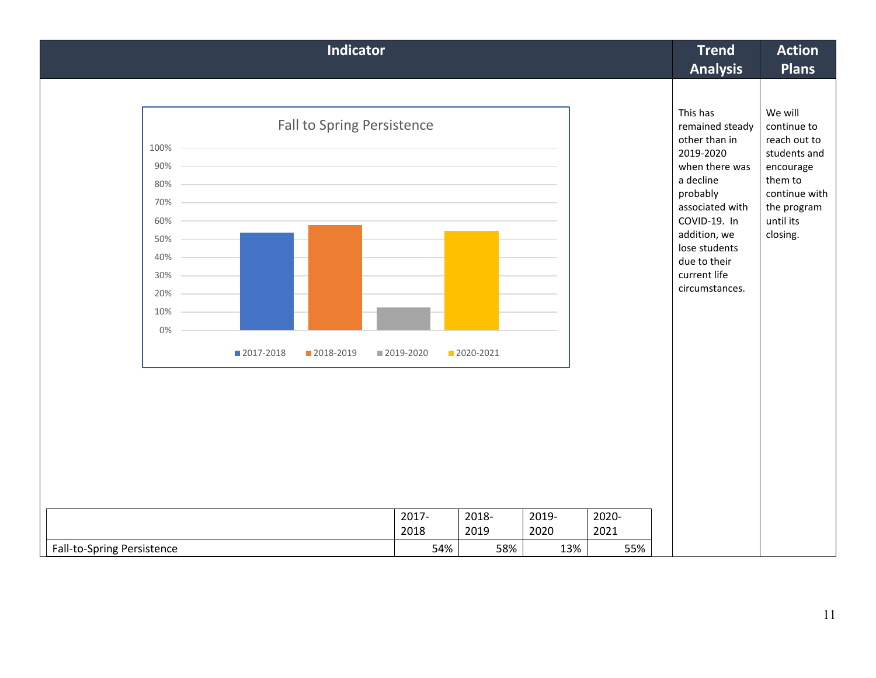| Indicator                                                                                                                                                                                                                                                                                                                       |                      |                    |       |       | <b>Trend</b><br><b>Analysis</b>                                                                                                                                                                                            | <b>Action</b><br><b>Plans</b>                                                                                                           |
|---------------------------------------------------------------------------------------------------------------------------------------------------------------------------------------------------------------------------------------------------------------------------------------------------------------------------------|----------------------|--------------------|-------|-------|----------------------------------------------------------------------------------------------------------------------------------------------------------------------------------------------------------------------------|-----------------------------------------------------------------------------------------------------------------------------------------|
| Fall to Spring Persistence<br>100%<br>90%<br>the control of the control of the control of the control of the control of the control of<br>80% -<br>the control of the control of the control of the control of the control of the control of<br>70%<br>60%<br>50%<br>40%<br>30%<br>20%<br>10%<br>0%<br>■ 2017-2018<br>2018-2019 | ■ 2019-2020<br>2017- | 2020-2021<br>2018- | 2019- | 2020- | This has<br>remained steady<br>other than in<br>2019-2020<br>when there was<br>a decline<br>probably<br>associated with<br>COVID-19. In<br>addition, we<br>lose students<br>due to their<br>current life<br>circumstances. | We will<br>continue to<br>reach out to<br>students and<br>encourage<br>them to<br>continue with<br>the program<br>until its<br>closing. |
|                                                                                                                                                                                                                                                                                                                                 | 2018                 | 2019               | 2020  | 2021  |                                                                                                                                                                                                                            |                                                                                                                                         |
| Fall-to-Spring Persistence                                                                                                                                                                                                                                                                                                      | 54%                  | 58%                | 13%   | 55%   |                                                                                                                                                                                                                            |                                                                                                                                         |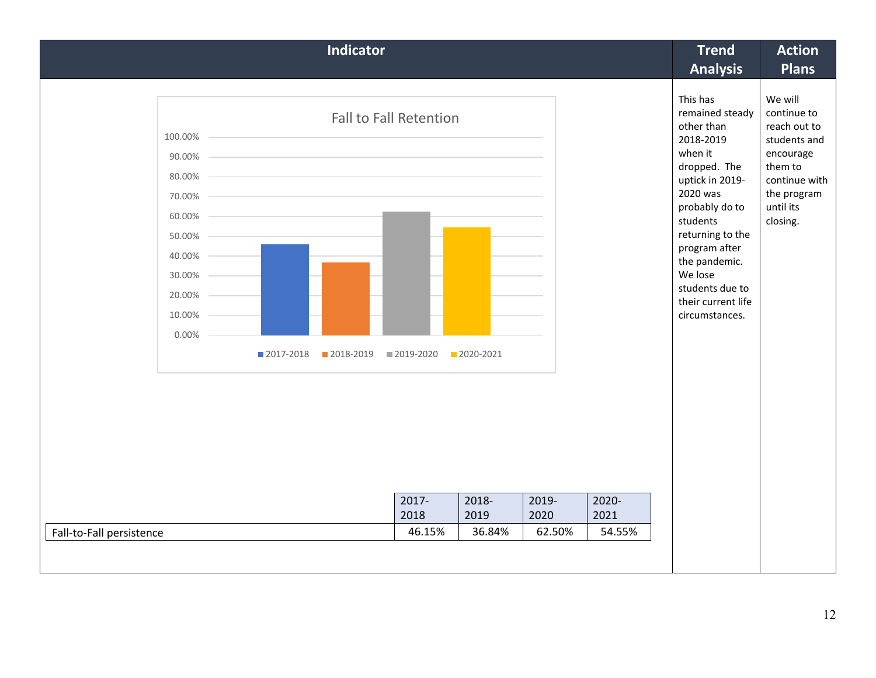| <b>Indicator</b>                                                                                                                                                                                  |                                         |                                      |                         |                         | <b>Trend</b><br><b>Analysis</b>                                                                                                                                                                                                                                            | <b>Action</b><br><b>Plans</b>                                                                                                           |
|---------------------------------------------------------------------------------------------------------------------------------------------------------------------------------------------------|-----------------------------------------|--------------------------------------|-------------------------|-------------------------|----------------------------------------------------------------------------------------------------------------------------------------------------------------------------------------------------------------------------------------------------------------------------|-----------------------------------------------------------------------------------------------------------------------------------------|
| <b>Fall to Fall Retention</b><br>100.00%<br>90.00%<br>80.00%<br>70.00%<br>60.00%<br>50.00%<br>40.00%<br>30.00%<br>20.00%<br>10.00%<br>0.00%<br>2017-2018<br>2018-2019<br>Fall-to-Fall persistence | 2019-2020<br>$2017 -$<br>2018<br>46.15% | 2020-2021<br>2018-<br>2019<br>36.84% | 2019-<br>2020<br>62.50% | 2020-<br>2021<br>54.55% | This has<br>remained steady<br>other than<br>2018-2019<br>when it<br>dropped. The<br>uptick in 2019-<br>2020 was<br>probably do to<br>students<br>returning to the<br>program after<br>the pandemic.<br>We lose<br>students due to<br>their current life<br>circumstances. | We will<br>continue to<br>reach out to<br>students and<br>encourage<br>them to<br>continue with<br>the program<br>until its<br>closing. |
|                                                                                                                                                                                                   |                                         |                                      |                         |                         |                                                                                                                                                                                                                                                                            |                                                                                                                                         |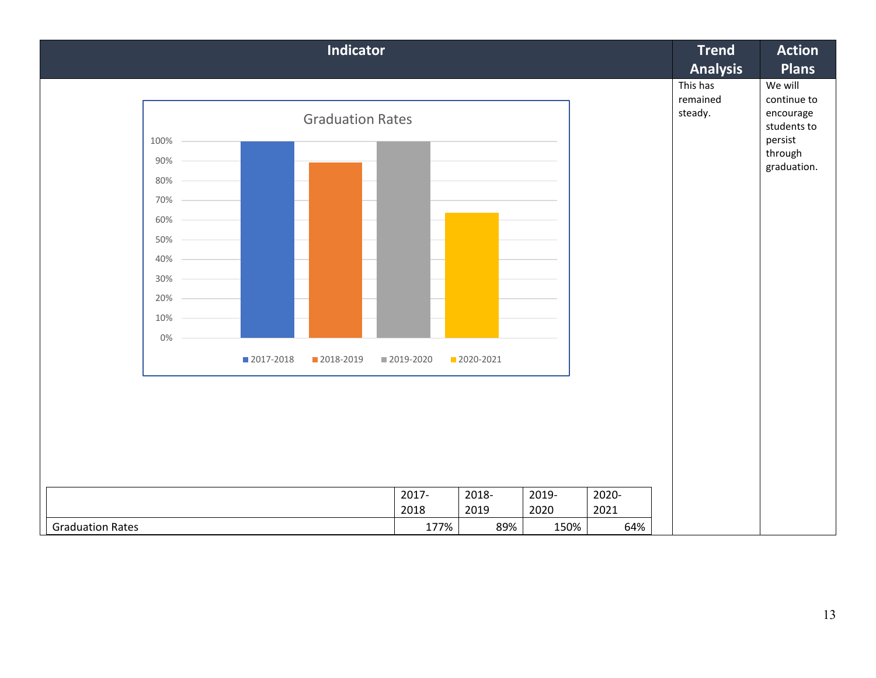